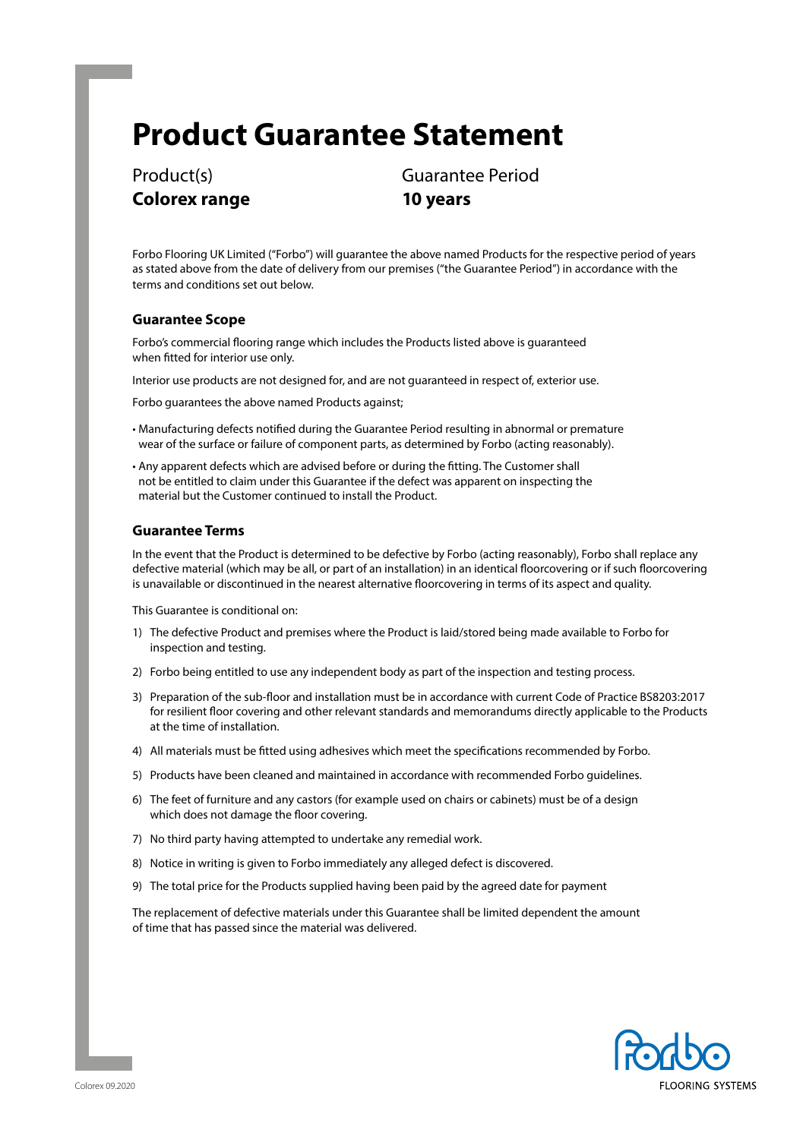# **Product Guarantee Statement**

**Colorex range 10 years**

Product(s) Guarantee Period

Forbo Flooring UK Limited ("Forbo") will guarantee the above named Products for the respective period of years as stated above from the date of delivery from our premises ("the Guarantee Period") in accordance with the terms and conditions set out below.

## **Guarantee Scope**

Forbo's commercial flooring range which includes the Products listed above is guaranteed when fitted for interior use only.

Interior use products are not designed for, and are not guaranteed in respect of, exterior use.

Forbo guarantees the above named Products against;

- Manufacturing defects notified during the Guarantee Period resulting in abnormal or premature wear of the surface or failure of component parts, as determined by Forbo (acting reasonably).
- Any apparent defects which are advised before or during the fitting. The Customer shall not be entitled to claim under this Guarantee if the defect was apparent on inspecting the material but the Customer continued to install the Product.

## **Guarantee Terms**

In the event that the Product is determined to be defective by Forbo (acting reasonably), Forbo shall replace any defective material (which may be all, or part of an installation) in an identical floorcovering or if such floorcovering is unavailable or discontinued in the nearest alternative floorcovering in terms of its aspect and quality.

This Guarantee is conditional on:

- 1) The defective Product and premises where the Product is laid/stored being made available to Forbo for inspection and testing.
- 2) Forbo being entitled to use any independent body as part of the inspection and testing process.
- 3) Preparation of the sub-floor and installation must be in accordance with current Code of Practice BS8203:2017 for resilient floor covering and other relevant standards and memorandums directly applicable to the Products at the time of installation.
- 4) All materials must be fitted using adhesives which meet the specifications recommended by Forbo.
- 5) Products have been cleaned and maintained in accordance with recommended Forbo guidelines.
- 6) The feet of furniture and any castors (for example used on chairs or cabinets) must be of a design which does not damage the floor covering.
- 7) No third party having attempted to undertake any remedial work.
- 8) Notice in writing is given to Forbo immediately any alleged defect is discovered.
- 9) The total price for the Products supplied having been paid by the agreed date for payment

The replacement of defective materials under this Guarantee shall be limited dependent the amount of time that has passed since the material was delivered.